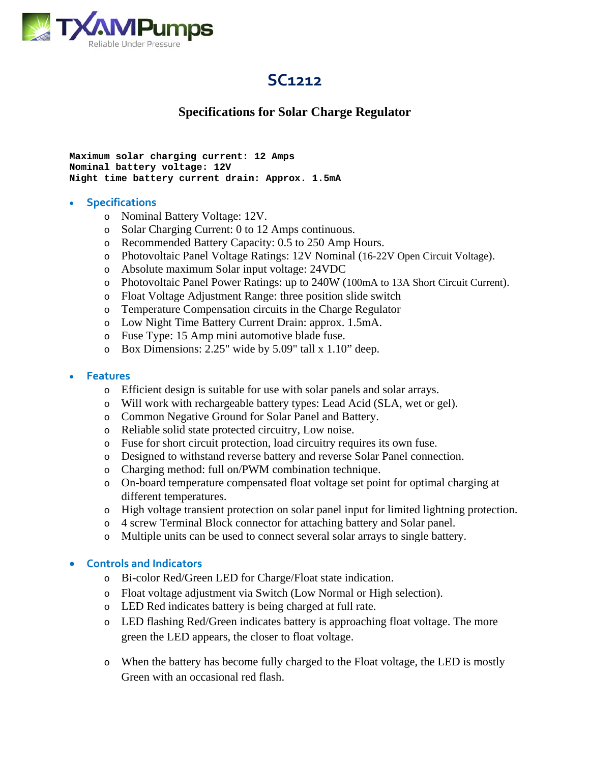

# **SC1212**

## **Specifications for Solar Charge Regulator**

```
Maximum solar charging current: 12 Amps 
Nominal battery voltage: 12V 
Night time battery current drain: Approx. 1.5mA
```
#### **Specifications**

- o Nominal Battery Voltage: 12V.
- o Solar Charging Current: 0 to 12 Amps continuous.
- o Recommended Battery Capacity: 0.5 to 250 Amp Hours.
- o Photovoltaic Panel Voltage Ratings: 12V Nominal (16-22V Open Circuit Voltage).
- o Absolute maximum Solar input voltage: 24VDC
- o Photovoltaic Panel Power Ratings: up to 240W (100mA to 13A Short Circuit Current).
- o Float Voltage Adjustment Range: three position slide switch
- o Temperature Compensation circuits in the Charge Regulator
- o Low Night Time Battery Current Drain: approx. 1.5mA.
- o Fuse Type: 15 Amp mini automotive blade fuse.
- o Box Dimensions: 2.25" wide by 5.09" tall x 1.10" deep.

#### **Features**

- o Efficient design is suitable for use with solar panels and solar arrays.
- o Will work with rechargeable battery types: Lead Acid (SLA, wet or gel).
- o Common Negative Ground for Solar Panel and Battery.
- o Reliable solid state protected circuitry, Low noise.
- o Fuse for short circuit protection, load circuitry requires its own fuse.
- o Designed to withstand reverse battery and reverse Solar Panel connection.
- o Charging method: full on/PWM combination technique.
- o On-board temperature compensated float voltage set point for optimal charging at different temperatures.
- o High voltage transient protection on solar panel input for limited lightning protection.
- o 4 screw Terminal Block connector for attaching battery and Solar panel.
- o Multiple units can be used to connect several solar arrays to single battery.

#### **Controls and Indicators**

- o Bi-color Red/Green LED for Charge/Float state indication.
- o Float voltage adjustment via Switch (Low Normal or High selection).
- o LED Red indicates battery is being charged at full rate.
- o LED flashing Red/Green indicates battery is approaching float voltage. The more green the LED appears, the closer to float voltage.
- o When the battery has become fully charged to the Float voltage, the LED is mostly Green with an occasional red flash.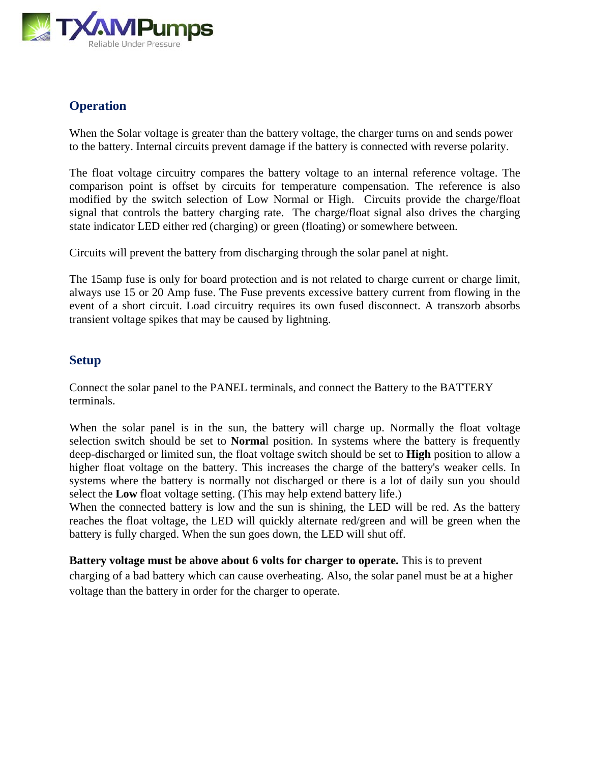

## **Operation**

When the Solar voltage is greater than the battery voltage, the charger turns on and sends power to the battery. Internal circuits prevent damage if the battery is connected with reverse polarity.

The float voltage circuitry compares the battery voltage to an internal reference voltage. The comparison point is offset by circuits for temperature compensation. The reference is also modified by the switch selection of Low Normal or High. Circuits provide the charge/float signal that controls the battery charging rate. The charge/float signal also drives the charging state indicator LED either red (charging) or green (floating) or somewhere between.

Circuits will prevent the battery from discharging through the solar panel at night.

The 15amp fuse is only for board protection and is not related to charge current or charge limit, always use 15 or 20 Amp fuse. The Fuse prevents excessive battery current from flowing in the event of a short circuit. Load circuitry requires its own fused disconnect. A transzorb absorbs transient voltage spikes that may be caused by lightning.

### **Setup**

Connect the solar panel to the PANEL terminals, and connect the Battery to the BATTERY terminals.

When the solar panel is in the sun, the battery will charge up. Normally the float voltage selection switch should be set to **Norma**l position. In systems where the battery is frequently deep-discharged or limited sun, the float voltage switch should be set to **High** position to allow a higher float voltage on the battery. This increases the charge of the battery's weaker cells. In systems where the battery is normally not discharged or there is a lot of daily sun you should select the **Low** float voltage setting. (This may help extend battery life.)

When the connected battery is low and the sun is shining, the LED will be red. As the battery reaches the float voltage, the LED will quickly alternate red/green and will be green when the battery is fully charged. When the sun goes down, the LED will shut off.

**Battery voltage must be above about 6 volts for charger to operate.** This is to prevent charging of a bad battery which can cause overheating. Also, the solar panel must be at a higher voltage than the battery in order for the charger to operate.